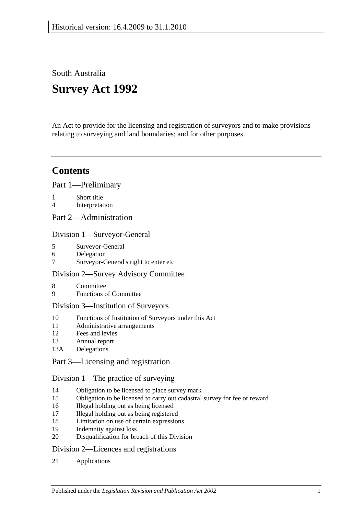South Australia

# **Survey Act 1992**

An Act to provide for the licensing and registration of surveyors and to make provisions relating to surveying and land boundaries; and for other purposes.

## **Contents**

[Part 1—Preliminary](#page-2-0)

- 1 [Short title](#page-2-1)
- 4 [Interpretation](#page-2-2)
- [Part 2—Administration](#page-5-0)

#### [Division 1—Surveyor-General](#page-5-1)

- 5 [Surveyor-General](#page-5-2)
- 6 [Delegation](#page-5-3)
- 7 [Surveyor-General's right to enter etc](#page-5-4)

## [Division 2—Survey Advisory Committee](#page-5-5)

- 8 [Committee](#page-5-6)
- 9 [Functions of Committee](#page-6-0)

## [Division 3—Institution of Surveyors](#page-6-1)

- 10 [Functions of Institution of Surveyors under this Act](#page-6-2)
- 11 [Administrative arrangements](#page-7-0)
- 12 [Fees and levies](#page-7-1)
- 13 [Annual report](#page-7-2)
- 13A [Delegations](#page-7-3)

## [Part 3—Licensing and registration](#page-8-0)

## [Division 1—The practice of surveying](#page-8-1)

- 14 [Obligation to be licensed to place survey mark](#page-8-2)
- 15 [Obligation to be licensed to carry out cadastral survey for fee or reward](#page-8-3)
- 16 [Illegal holding out as being licensed](#page-8-4)
- 17 [Illegal holding out as being registered](#page-9-0)
- 18 [Limitation on use of certain expressions](#page-9-1)
- 19 [Indemnity against loss](#page-9-2)
- 20 [Disqualification for breach of this Division](#page-9-3)

## [Division 2—Licences and registrations](#page-10-0)

21 [Applications](#page-10-1)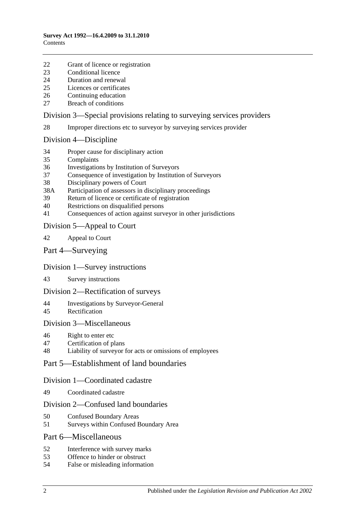- [Grant of licence or registration](#page-10-2)
- [Conditional licence](#page-10-3)
- [Duration and renewal](#page-11-0)
- [Licences or certificates](#page-11-1)
- [Continuing education](#page-11-2)
- [Breach of conditions](#page-12-0)

#### [Division 3—Special provisions relating to surveying services providers](#page-12-1)

[Improper directions etc to surveyor by surveying services provider](#page-12-2)

#### [Division 4—Discipline](#page-12-3)

- [Proper cause for disciplinary action](#page-12-4)
- [Complaints](#page-13-0)
- [Investigations by Institution of Surveyors](#page-13-1)
- [Consequence of investigation by Institution of Surveyors](#page-14-0)
- [Disciplinary powers of Court](#page-14-1)
- 38A [Participation of assessors in disciplinary proceedings](#page-15-0)
- [Return of licence or certificate of registration](#page-15-1)
- [Restrictions on disqualified persons](#page-16-0)
- [Consequences of action against surveyor in other jurisdictions](#page-16-1)

#### [Division 5—Appeal to Court](#page-16-2)

- [Appeal to Court](#page-16-3)
- [Part 4—Surveying](#page-17-0)

#### [Division 1—Survey instructions](#page-17-1)

[Survey instructions](#page-17-2)

#### [Division 2—Rectification of surveys](#page-18-0)

- [Investigations by Surveyor-General](#page-18-1)
- [Rectification](#page-19-0)

#### [Division 3—Miscellaneous](#page-19-1)

[Right to enter etc](#page-19-2)

#### [Certification of plans](#page-20-0)

[Liability of surveyor for acts or omissions of employees](#page-20-1)

#### [Part 5—Establishment of land boundaries](#page-20-2)

#### [Division 1—Coordinated cadastre](#page-20-3)

[Coordinated cadastre](#page-20-4)

#### [Division 2—Confused land boundaries](#page-21-0)

- [Confused Boundary Areas](#page-21-1)
- [Surveys within Confused Boundary Area](#page-21-2)

#### [Part 6—Miscellaneous](#page-23-0)

- [Interference with survey marks](#page-23-1)
- [Offence to hinder or obstruct](#page-23-2)
- [False or misleading information](#page-24-0)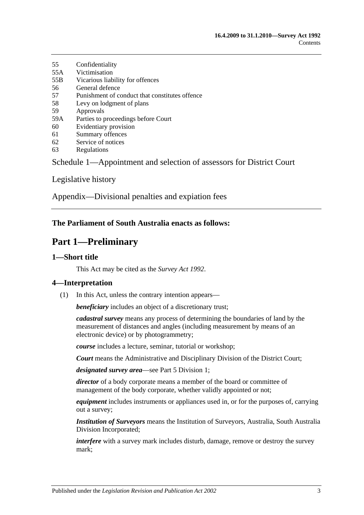- 55 [Confidentiality](#page-24-1) 55A [Victimisation](#page-24-2)
- 55B [Vicarious liability for offences](#page-25-0)
- 56 [General defence](#page-25-1)
- 57 [Punishment of conduct that constitutes offence](#page-25-2)
- 58 [Levy on lodgment of plans](#page-25-3)
- 59 [Approvals](#page-25-4)
- 59A [Parties to proceedings before Court](#page-25-5)
- 60 [Evidentiary provision](#page-25-6)
- 61 [Summary offences](#page-26-0)
- 62 [Service of notices](#page-26-1)
- 63 [Regulations](#page-26-2)

[Schedule 1—Appointment and selection of assessors for District Court](#page-27-0)

[Legislative history](#page-28-0)

[Appendix—Divisional penalties and expiation fees](#page-32-0)

## <span id="page-2-0"></span>**The Parliament of South Australia enacts as follows:**

## **Part 1—Preliminary**

## <span id="page-2-1"></span>**1—Short title**

This Act may be cited as the *Survey Act 1992*.

## <span id="page-2-2"></span>**4—Interpretation**

(1) In this Act, unless the contrary intention appears—

*beneficiary* includes an object of a discretionary trust;

*cadastral survey* means any process of determining the boundaries of land by the measurement of distances and angles (including measurement by means of an electronic device) or by photogrammetry;

*course* includes a lecture, seminar, tutorial or workshop;

*Court* means the Administrative and Disciplinary Division of the District Court;

*designated survey area*—see [Part 5 Division 1;](#page-20-3)

*director* of a body corporate means a member of the board or committee of management of the body corporate, whether validly appointed or not;

*equipment* includes instruments or appliances used in, or for the purposes of, carrying out a survey;

*Institution of Surveyors* means the Institution of Surveyors, Australia, South Australia Division Incorporated;

*interfere* with a survey mark includes disturb, damage, remove or destroy the survey mark;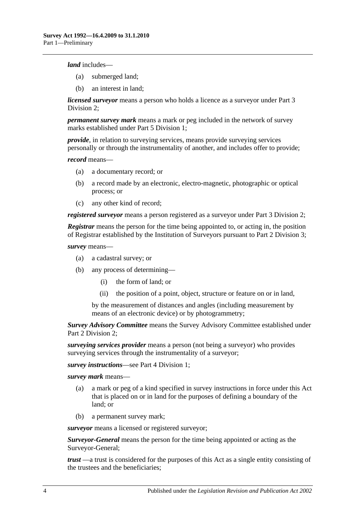*land* includes—

- (a) submerged land;
- (b) an interest in land;

*licensed surveyor* means a person who holds a licence as a surveyor under [Part 3](#page-10-0)  [Division 2;](#page-10-0)

*permanent survey mark* means a mark or peg included in the network of survey marks established under [Part 5 Division 1;](#page-20-3)

*provide*, in relation to surveying services, means provide surveying services personally or through the instrumentality of another, and includes offer to provide;

*record* means—

- (a) a documentary record; or
- (b) a record made by an electronic, electro-magnetic, photographic or optical process; or
- (c) any other kind of record;

*registered surveyor* means a person registered as a surveyor under [Part 3 Division 2;](#page-10-0)

*Registrar* means the person for the time being appointed to, or acting in, the position of Registrar established by the Institution of Surveyors pursuant to [Part 2 Division 3;](#page-6-1)

*survey* means—

- (a) a cadastral survey; or
- (b) any process of determining—
	- (i) the form of land; or
	- (ii) the position of a point, object, structure or feature on or in land,

by the measurement of distances and angles (including measurement by means of an electronic device) or by photogrammetry;

*Survey Advisory Committee* means the Survey Advisory Committee established under [Part 2 Division 2;](#page-5-5)

*surveying services provider* means a person (not being a surveyor) who provides surveying services through the instrumentality of a surveyor;

*survey instructions*—see [Part 4 Division 1;](#page-17-1)

*survey mark* means—

- (a) a mark or peg of a kind specified in survey instructions in force under this Act that is placed on or in land for the purposes of defining a boundary of the land; or
- (b) a permanent survey mark;

*surveyor* means a licensed or registered surveyor;

*Surveyor-General* means the person for the time being appointed or acting as the Surveyor-General;

*trust* —a trust is considered for the purposes of this Act as a single entity consisting of the trustees and the beneficiaries;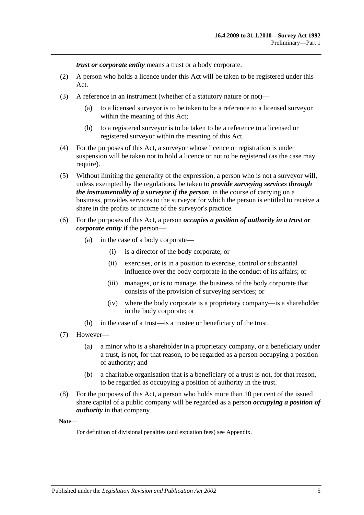*trust or corporate entity* means a trust or a body corporate.

- (2) A person who holds a licence under this Act will be taken to be registered under this Act.
- (3) A reference in an instrument (whether of a statutory nature or not)—
	- (a) to a licensed surveyor is to be taken to be a reference to a licensed surveyor within the meaning of this Act;
	- (b) to a registered surveyor is to be taken to be a reference to a licensed or registered surveyor within the meaning of this Act.
- (4) For the purposes of this Act, a surveyor whose licence or registration is under suspension will be taken not to hold a licence or not to be registered (as the case may require).
- (5) Without limiting the generality of the expression, a person who is not a surveyor will, unless exempted by the regulations, be taken to *provide surveying services through the instrumentality of a surveyor if the person*, in the course of carrying on a business, provides services to the surveyor for which the person is entitled to receive a share in the profits or income of the surveyor's practice.
- (6) For the purposes of this Act, a person *occupies a position of authority in a trust or corporate entity* if the person—
	- (a) in the case of a body corporate—
		- (i) is a director of the body corporate; or
		- (ii) exercises, or is in a position to exercise, control or substantial influence over the body corporate in the conduct of its affairs; or
		- (iii) manages, or is to manage, the business of the body corporate that consists of the provision of surveying services; or
		- (iv) where the body corporate is a proprietary company—is a shareholder in the body corporate; or
	- (b) in the case of a trust—is a trustee or beneficiary of the trust.
- (7) However—
	- (a) a minor who is a shareholder in a proprietary company, or a beneficiary under a trust, is not, for that reason, to be regarded as a person occupying a position of authority; and
	- (b) a charitable organisation that is a beneficiary of a trust is not, for that reason, to be regarded as occupying a position of authority in the trust.
- (8) For the purposes of this Act, a person who holds more than 10 per cent of the issued share capital of a public company will be regarded as a person *occupying a position of authority* in that company.

**Note—**

For definition of divisional penalties (and expiation fees) see Appendix.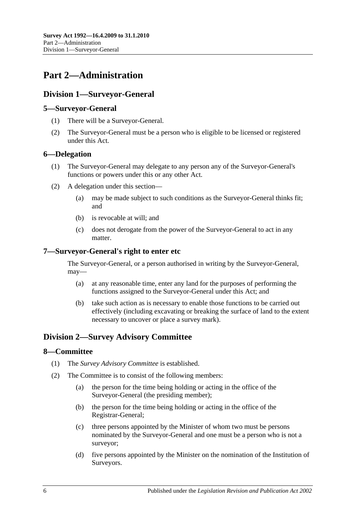## <span id="page-5-0"></span>**Part 2—Administration**

## <span id="page-5-1"></span>**Division 1—Surveyor-General**

## <span id="page-5-2"></span>**5—Surveyor-General**

- (1) There will be a Surveyor-General.
- (2) The Surveyor-General must be a person who is eligible to be licensed or registered under this Act.

## <span id="page-5-3"></span>**6—Delegation**

- (1) The Surveyor-General may delegate to any person any of the Surveyor-General's functions or powers under this or any other Act.
- (2) A delegation under this section—
	- (a) may be made subject to such conditions as the Surveyor-General thinks fit; and
	- (b) is revocable at will; and
	- (c) does not derogate from the power of the Surveyor-General to act in any matter.

## <span id="page-5-4"></span>**7—Surveyor-General's right to enter etc**

The Surveyor-General, or a person authorised in writing by the Surveyor-General, may—

- (a) at any reasonable time, enter any land for the purposes of performing the functions assigned to the Surveyor-General under this Act; and
- (b) take such action as is necessary to enable those functions to be carried out effectively (including excavating or breaking the surface of land to the extent necessary to uncover or place a survey mark).

## <span id="page-5-5"></span>**Division 2—Survey Advisory Committee**

## <span id="page-5-6"></span>**8—Committee**

- (1) The *Survey Advisory Committee* is established.
- (2) The Committee is to consist of the following members:
	- (a) the person for the time being holding or acting in the office of the Surveyor-General (the presiding member);
	- (b) the person for the time being holding or acting in the office of the Registrar-General;
	- (c) three persons appointed by the Minister of whom two must be persons nominated by the Surveyor-General and one must be a person who is not a surveyor;
	- (d) five persons appointed by the Minister on the nomination of the Institution of Surveyors.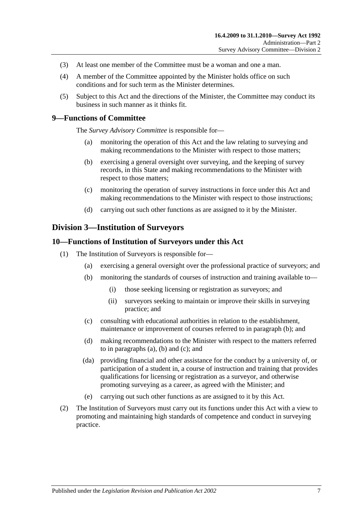- (3) At least one member of the Committee must be a woman and one a man.
- (4) A member of the Committee appointed by the Minister holds office on such conditions and for such term as the Minister determines.
- (5) Subject to this Act and the directions of the Minister, the Committee may conduct its business in such manner as it thinks fit.

## <span id="page-6-0"></span>**9—Functions of Committee**

The *Survey Advisory Committee* is responsible for—

- (a) monitoring the operation of this Act and the law relating to surveying and making recommendations to the Minister with respect to those matters;
- (b) exercising a general oversight over surveying, and the keeping of survey records, in this State and making recommendations to the Minister with respect to those matters;
- (c) monitoring the operation of survey instructions in force under this Act and making recommendations to the Minister with respect to those instructions;
- (d) carrying out such other functions as are assigned to it by the Minister.

#### <span id="page-6-1"></span>**Division 3—Institution of Surveyors**

#### <span id="page-6-2"></span>**10—Functions of Institution of Surveyors under this Act**

- <span id="page-6-5"></span><span id="page-6-4"></span><span id="page-6-3"></span>(1) The Institution of Surveyors is responsible for—
	- (a) exercising a general oversight over the professional practice of surveyors; and
	- (b) monitoring the standards of courses of instruction and training available to—
		- (i) those seeking licensing or registration as surveyors; and
		- (ii) surveyors seeking to maintain or improve their skills in surveying practice; and
	- (c) consulting with educational authorities in relation to the establishment, maintenance or improvement of courses referred to in [paragraph](#page-6-3) (b); and
	- (d) making recommendations to the Minister with respect to the matters referred to in [paragraphs](#page-6-4) (a), [\(b\)](#page-6-3) and [\(c\);](#page-6-5) and
	- (da) providing financial and other assistance for the conduct by a university of, or participation of a student in, a course of instruction and training that provides qualifications for licensing or registration as a surveyor, and otherwise promoting surveying as a career, as agreed with the Minister; and
	- (e) carrying out such other functions as are assigned to it by this Act.
- (2) The Institution of Surveyors must carry out its functions under this Act with a view to promoting and maintaining high standards of competence and conduct in surveying practice.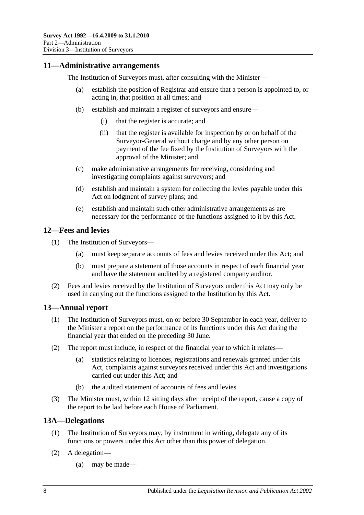### <span id="page-7-0"></span>**11—Administrative arrangements**

The Institution of Surveyors must, after consulting with the Minister—

- (a) establish the position of Registrar and ensure that a person is appointed to, or acting in, that position at all times; and
- (b) establish and maintain a register of surveyors and ensure—
	- (i) that the register is accurate; and
	- (ii) that the register is available for inspection by or on behalf of the Surveyor-General without charge and by any other person on payment of the fee fixed by the Institution of Surveyors with the approval of the Minister; and
- (c) make administrative arrangements for receiving, considering and investigating complaints against surveyors; and
- (d) establish and maintain a system for collecting the levies payable under this Act on lodgment of survey plans; and
- (e) establish and maintain such other administrative arrangements as are necessary for the performance of the functions assigned to it by this Act.

#### <span id="page-7-1"></span>**12—Fees and levies**

- (1) The Institution of Surveyors—
	- (a) must keep separate accounts of fees and levies received under this Act; and
	- (b) must prepare a statement of those accounts in respect of each financial year and have the statement audited by a registered company auditor.
- (2) Fees and levies received by the Institution of Surveyors under this Act may only be used in carrying out the functions assigned to the Institution by this Act.

#### <span id="page-7-2"></span>**13—Annual report**

- (1) The Institution of Surveyors must, on or before 30 September in each year, deliver to the Minister a report on the performance of its functions under this Act during the financial year that ended on the preceding 30 June.
- (2) The report must include, in respect of the financial year to which it relates—
	- (a) statistics relating to licences, registrations and renewals granted under this Act, complaints against surveyors received under this Act and investigations carried out under this Act; and
	- (b) the audited statement of accounts of fees and levies.
- (3) The Minister must, within 12 sitting days after receipt of the report, cause a copy of the report to be laid before each House of Parliament.

#### <span id="page-7-3"></span>**13A—Delegations**

- (1) The Institution of Surveyors may, by instrument in writing, delegate any of its functions or powers under this Act other than this power of delegation.
- (2) A delegation—
	- (a) may be made—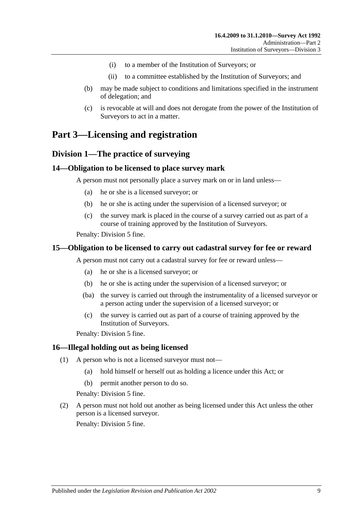- (i) to a member of the Institution of Surveyors; or
- (ii) to a committee established by the Institution of Surveyors; and
- (b) may be made subject to conditions and limitations specified in the instrument of delegation; and
- (c) is revocable at will and does not derogate from the power of the Institution of Surveyors to act in a matter.

## <span id="page-8-1"></span><span id="page-8-0"></span>**Part 3—Licensing and registration**

## **Division 1—The practice of surveying**

#### <span id="page-8-2"></span>**14—Obligation to be licensed to place survey mark**

A person must not personally place a survey mark on or in land unless—

- (a) he or she is a licensed surveyor; or
- (b) he or she is acting under the supervision of a licensed surveyor; or
- (c) the survey mark is placed in the course of a survey carried out as part of a course of training approved by the Institution of Surveyors.

Penalty: Division 5 fine.

#### <span id="page-8-3"></span>**15—Obligation to be licensed to carry out cadastral survey for fee or reward**

A person must not carry out a cadastral survey for fee or reward unless—

- (a) he or she is a licensed surveyor; or
- (b) he or she is acting under the supervision of a licensed surveyor; or
- (ba) the survey is carried out through the instrumentality of a licensed surveyor or a person acting under the supervision of a licensed surveyor; or
- (c) the survey is carried out as part of a course of training approved by the Institution of Surveyors.

Penalty: Division 5 fine.

#### <span id="page-8-4"></span>**16—Illegal holding out as being licensed**

- (1) A person who is not a licensed surveyor must not—
	- (a) hold himself or herself out as holding a licence under this Act; or
	- (b) permit another person to do so.

Penalty: Division 5 fine.

(2) A person must not hold out another as being licensed under this Act unless the other person is a licensed surveyor.

Penalty: Division 5 fine.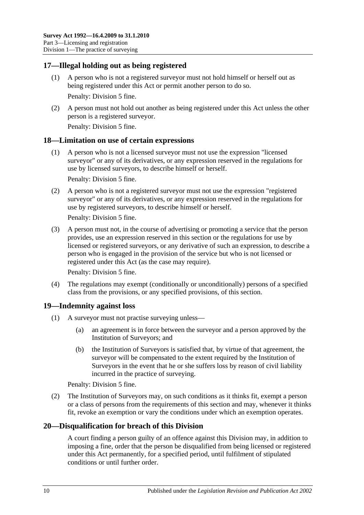## <span id="page-9-0"></span>**17—Illegal holding out as being registered**

- (1) A person who is not a registered surveyor must not hold himself or herself out as being registered under this Act or permit another person to do so. Penalty: Division 5 fine.
- (2) A person must not hold out another as being registered under this Act unless the other person is a registered surveyor.

Penalty: Division 5 fine.

#### <span id="page-9-1"></span>**18—Limitation on use of certain expressions**

(1) A person who is not a licensed surveyor must not use the expression "licensed surveyor" or any of its derivatives, or any expression reserved in the regulations for use by licensed surveyors, to describe himself or herself.

Penalty: Division 5 fine.

(2) A person who is not a registered surveyor must not use the expression "registered surveyor" or any of its derivatives, or any expression reserved in the regulations for use by registered surveyors, to describe himself or herself.

Penalty: Division 5 fine.

(3) A person must not, in the course of advertising or promoting a service that the person provides, use an expression reserved in this section or the regulations for use by licensed or registered surveyors, or any derivative of such an expression, to describe a person who is engaged in the provision of the service but who is not licensed or registered under this Act (as the case may require).

Penalty: Division 5 fine.

(4) The regulations may exempt (conditionally or unconditionally) persons of a specified class from the provisions, or any specified provisions, of this section.

## <span id="page-9-2"></span>**19—Indemnity against loss**

- (1) A surveyor must not practise surveying unless—
	- (a) an agreement is in force between the surveyor and a person approved by the Institution of Surveyors; and
	- (b) the Institution of Surveyors is satisfied that, by virtue of that agreement, the surveyor will be compensated to the extent required by the Institution of Surveyors in the event that he or she suffers loss by reason of civil liability incurred in the practice of surveying.

Penalty: Division 5 fine.

(2) The Institution of Surveyors may, on such conditions as it thinks fit, exempt a person or a class of persons from the requirements of this section and may, whenever it thinks fit, revoke an exemption or vary the conditions under which an exemption operates.

## <span id="page-9-3"></span>**20—Disqualification for breach of this Division**

A court finding a person guilty of an offence against this Division may, in addition to imposing a fine, order that the person be disqualified from being licensed or registered under this Act permanently, for a specified period, until fulfilment of stipulated conditions or until further order.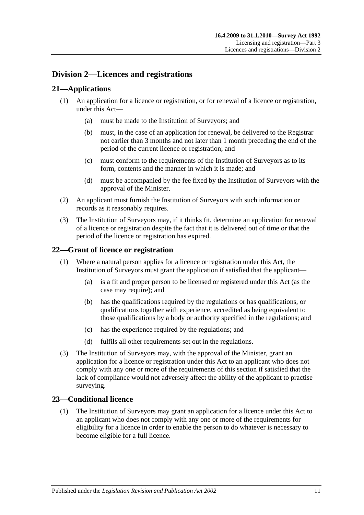## <span id="page-10-0"></span>**Division 2—Licences and registrations**

## <span id="page-10-1"></span>**21—Applications**

- (1) An application for a licence or registration, or for renewal of a licence or registration, under this Act—
	- (a) must be made to the Institution of Surveyors; and
	- (b) must, in the case of an application for renewal, be delivered to the Registrar not earlier than 3 months and not later than 1 month preceding the end of the period of the current licence or registration; and
	- (c) must conform to the requirements of the Institution of Surveyors as to its form, contents and the manner in which it is made; and
	- (d) must be accompanied by the fee fixed by the Institution of Surveyors with the approval of the Minister.
- (2) An applicant must furnish the Institution of Surveyors with such information or records as it reasonably requires.
- (3) The Institution of Surveyors may, if it thinks fit, determine an application for renewal of a licence or registration despite the fact that it is delivered out of time or that the period of the licence or registration has expired.

## <span id="page-10-2"></span>**22—Grant of licence or registration**

- (1) Where a natural person applies for a licence or registration under this Act, the Institution of Surveyors must grant the application if satisfied that the applicant—
	- (a) is a fit and proper person to be licensed or registered under this Act (as the case may require); and
	- (b) has the qualifications required by the regulations or has qualifications, or qualifications together with experience, accredited as being equivalent to those qualifications by a body or authority specified in the regulations; and
	- (c) has the experience required by the regulations; and
	- (d) fulfils all other requirements set out in the regulations.
- (3) The Institution of Surveyors may, with the approval of the Minister, grant an application for a licence or registration under this Act to an applicant who does not comply with any one or more of the requirements of this section if satisfied that the lack of compliance would not adversely affect the ability of the applicant to practise surveying.

## <span id="page-10-3"></span>**23—Conditional licence**

(1) The Institution of Surveyors may grant an application for a licence under this Act to an applicant who does not comply with any one or more of the requirements for eligibility for a licence in order to enable the person to do whatever is necessary to become eligible for a full licence.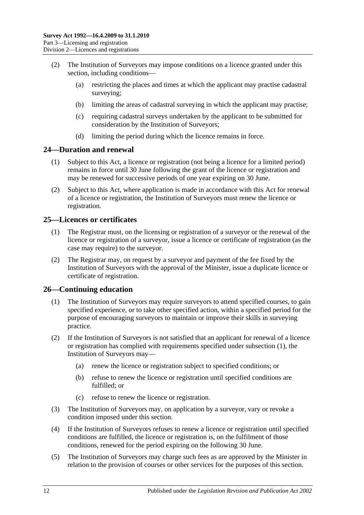- (2) The Institution of Surveyors may impose conditions on a licence granted under this section, including conditions—
	- (a) restricting the places and times at which the applicant may practise cadastral surveying:
	- (b) limiting the areas of cadastral surveying in which the applicant may practise;
	- (c) requiring cadastral surveys undertaken by the applicant to be submitted for consideration by the Institution of Surveyors;
	- (d) limiting the period during which the licence remains in force.

#### <span id="page-11-0"></span>**24—Duration and renewal**

- (1) Subject to this Act, a licence or registration (not being a licence for a limited period) remains in force until 30 June following the grant of the licence or registration and may be renewed for successive periods of one year expiring on 30 June.
- (2) Subject to this Act, where application is made in accordance with this Act for renewal of a licence or registration, the Institution of Surveyors must renew the licence or registration.

## <span id="page-11-1"></span>**25—Licences or certificates**

- (1) The Registrar must, on the licensing or registration of a surveyor or the renewal of the licence or registration of a surveyor, issue a licence or certificate of registration (as the case may require) to the surveyor.
- (2) The Registrar may, on request by a surveyor and payment of the fee fixed by the Institution of Surveyors with the approval of the Minister, issue a duplicate licence or certificate of registration.

## <span id="page-11-3"></span><span id="page-11-2"></span>**26—Continuing education**

- (1) The Institution of Surveyors may require surveyors to attend specified courses, to gain specified experience, or to take other specified action, within a specified period for the purpose of encouraging surveyors to maintain or improve their skills in surveying practice.
- (2) If the Institution of Surveyors is not satisfied that an applicant for renewal of a licence or registration has complied with requirements specified under [subsection](#page-11-3) (1), the Institution of Surveyors may—
	- (a) renew the licence or registration subject to specified conditions; or
	- (b) refuse to renew the licence or registration until specified conditions are fulfilled; or
	- (c) refuse to renew the licence or registration.
- (3) The Institution of Surveyors may, on application by a surveyor, vary or revoke a condition imposed under this section.
- (4) If the Institution of Surveyors refuses to renew a licence or registration until specified conditions are fulfilled, the licence or registration is, on the fulfilment of those conditions, renewed for the period expiring on the following 30 June.
- (5) The Institution of Surveyors may charge such fees as are approved by the Minister in relation to the provision of courses or other services for the purposes of this section.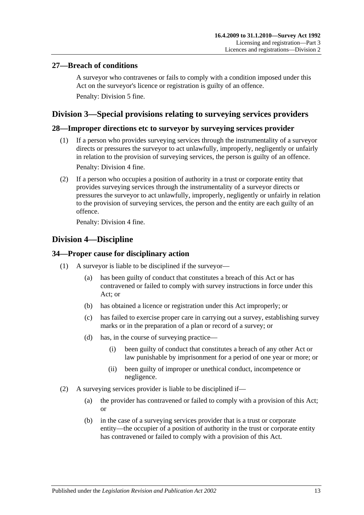## <span id="page-12-0"></span>**27—Breach of conditions**

A surveyor who contravenes or fails to comply with a condition imposed under this Act on the surveyor's licence or registration is guilty of an offence. Penalty: Division 5 fine.

## <span id="page-12-1"></span>**Division 3—Special provisions relating to surveying services providers**

## <span id="page-12-2"></span>**28—Improper directions etc to surveyor by surveying services provider**

- (1) If a person who provides surveying services through the instrumentality of a surveyor directs or pressures the surveyor to act unlawfully, improperly, negligently or unfairly in relation to the provision of surveying services, the person is guilty of an offence. Penalty: Division 4 fine.
- (2) If a person who occupies a position of authority in a trust or corporate entity that provides surveying services through the instrumentality of a surveyor directs or pressures the surveyor to act unlawfully, improperly, negligently or unfairly in relation to the provision of surveying services, the person and the entity are each guilty of an offence.

Penalty: Division 4 fine.

## <span id="page-12-3"></span>**Division 4—Discipline**

## <span id="page-12-4"></span>**34—Proper cause for disciplinary action**

- (1) A surveyor is liable to be disciplined if the surveyor—
	- (a) has been guilty of conduct that constitutes a breach of this Act or has contravened or failed to comply with survey instructions in force under this Act; or
	- (b) has obtained a licence or registration under this Act improperly; or
	- (c) has failed to exercise proper care in carrying out a survey, establishing survey marks or in the preparation of a plan or record of a survey; or
	- (d) has, in the course of surveying practice—
		- (i) been guilty of conduct that constitutes a breach of any other Act or law punishable by imprisonment for a period of one year or more; or
		- (ii) been guilty of improper or unethical conduct, incompetence or negligence.
- (2) A surveying services provider is liable to be disciplined if—
	- (a) the provider has contravened or failed to comply with a provision of this Act; or
	- (b) in the case of a surveying services provider that is a trust or corporate entity—the occupier of a position of authority in the trust or corporate entity has contravened or failed to comply with a provision of this Act.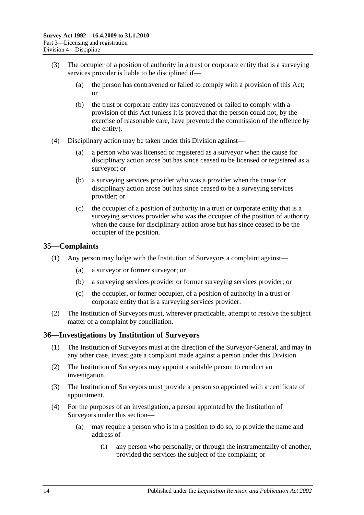- (3) The occupier of a position of authority in a trust or corporate entity that is a surveying services provider is liable to be disciplined if—
	- (a) the person has contravened or failed to comply with a provision of this Act; or
	- (b) the trust or corporate entity has contravened or failed to comply with a provision of this Act (unless it is proved that the person could not, by the exercise of reasonable care, have prevented the commission of the offence by the entity).
- (4) Disciplinary action may be taken under this Division against—
	- (a) a person who was licensed or registered as a surveyor when the cause for disciplinary action arose but has since ceased to be licensed or registered as a surveyor; or
	- (b) a surveying services provider who was a provider when the cause for disciplinary action arose but has since ceased to be a surveying services provider; or
	- (c) the occupier of a position of authority in a trust or corporate entity that is a surveying services provider who was the occupier of the position of authority when the cause for disciplinary action arose but has since ceased to be the occupier of the position.

## <span id="page-13-0"></span>**35—Complaints**

- (1) Any person may lodge with the Institution of Surveyors a complaint against—
	- (a) a surveyor or former surveyor; or
	- (b) a surveying services provider or former surveying services provider; or
	- (c) the occupier, or former occupier, of a position of authority in a trust or corporate entity that is a surveying services provider.
- (2) The Institution of Surveyors must, wherever practicable, attempt to resolve the subject matter of a complaint by conciliation.

## <span id="page-13-1"></span>**36—Investigations by Institution of Surveyors**

- (1) The Institution of Surveyors must at the direction of the Surveyor-General, and may in any other case, investigate a complaint made against a person under this Division.
- (2) The Institution of Surveyors may appoint a suitable person to conduct an investigation.
- (3) The Institution of Surveyors must provide a person so appointed with a certificate of appointment.
- (4) For the purposes of an investigation, a person appointed by the Institution of Surveyors under this section—
	- (a) may require a person who is in a position to do so, to provide the name and address of—
		- (i) any person who personally, or through the instrumentality of another, provided the services the subject of the complaint; or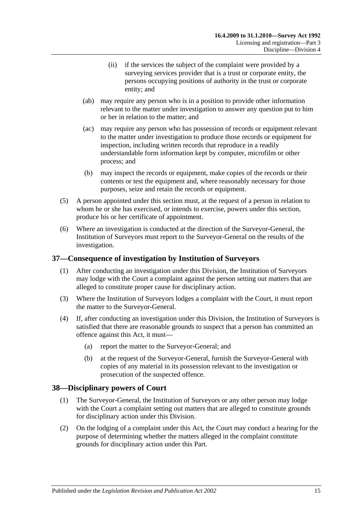- (ii) if the services the subject of the complaint were provided by a surveying services provider that is a trust or corporate entity, the persons occupying positions of authority in the trust or corporate entity; and
- (ab) may require any person who is in a position to provide other information relevant to the matter under investigation to answer any question put to him or her in relation to the matter; and
- (ac) may require any person who has possession of records or equipment relevant to the matter under investigation to produce those records or equipment for inspection, including written records that reproduce in a readily understandable form information kept by computer, microfilm or other process; and
- (b) may inspect the records or equipment, make copies of the records or their contents or test the equipment and, where reasonably necessary for those purposes, seize and retain the records or equipment.
- (5) A person appointed under this section must, at the request of a person in relation to whom he or she has exercised, or intends to exercise, powers under this section, produce his or her certificate of appointment.
- (6) Where an investigation is conducted at the direction of the Surveyor-General, the Institution of Surveyors must report to the Surveyor-General on the results of the investigation.

## <span id="page-14-0"></span>**37—Consequence of investigation by Institution of Surveyors**

- (1) After conducting an investigation under this Division, the Institution of Surveyors may lodge with the Court a complaint against the person setting out matters that are alleged to constitute proper cause for disciplinary action.
- (3) Where the Institution of Surveyors lodges a complaint with the Court, it must report the matter to the Surveyor-General.
- (4) If, after conducting an investigation under this Division, the Institution of Surveyors is satisfied that there are reasonable grounds to suspect that a person has committed an offence against this Act, it must—
	- (a) report the matter to the Surveyor-General; and
	- (b) at the request of the Surveyor-General, furnish the Surveyor-General with copies of any material in its possession relevant to the investigation or prosecution of the suspected offence.

## <span id="page-14-1"></span>**38—Disciplinary powers of Court**

- (1) The Surveyor-General, the Institution of Surveyors or any other person may lodge with the Court a complaint setting out matters that are alleged to constitute grounds for disciplinary action under this Division.
- (2) On the lodging of a complaint under this Act, the Court may conduct a hearing for the purpose of determining whether the matters alleged in the complaint constitute grounds for disciplinary action under this Part.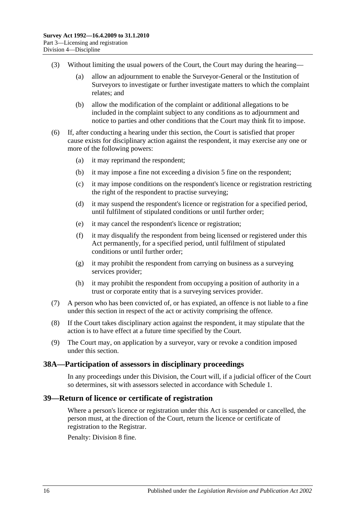- (3) Without limiting the usual powers of the Court, the Court may during the hearing—
	- (a) allow an adjournment to enable the Surveyor-General or the Institution of Surveyors to investigate or further investigate matters to which the complaint relates; and
	- (b) allow the modification of the complaint or additional allegations to be included in the complaint subject to any conditions as to adjournment and notice to parties and other conditions that the Court may think fit to impose.
- (6) If, after conducting a hearing under this section, the Court is satisfied that proper cause exists for disciplinary action against the respondent, it may exercise any one or more of the following powers:
	- (a) it may reprimand the respondent;
	- (b) it may impose a fine not exceeding a division 5 fine on the respondent;
	- (c) it may impose conditions on the respondent's licence or registration restricting the right of the respondent to practise surveying;
	- (d) it may suspend the respondent's licence or registration for a specified period, until fulfilment of stipulated conditions or until further order;
	- (e) it may cancel the respondent's licence or registration;
	- (f) it may disqualify the respondent from being licensed or registered under this Act permanently, for a specified period, until fulfilment of stipulated conditions or until further order;
	- (g) it may prohibit the respondent from carrying on business as a surveying services provider;
	- (h) it may prohibit the respondent from occupying a position of authority in a trust or corporate entity that is a surveying services provider.
- (7) A person who has been convicted of, or has expiated, an offence is not liable to a fine under this section in respect of the act or activity comprising the offence.
- (8) If the Court takes disciplinary action against the respondent, it may stipulate that the action is to have effect at a future time specified by the Court.
- (9) The Court may, on application by a surveyor, vary or revoke a condition imposed under this section.

#### <span id="page-15-0"></span>**38A—Participation of assessors in disciplinary proceedings**

In any proceedings under this Division, the Court will, if a judicial officer of the Court so determines, sit with assessors selected in accordance with [Schedule 1.](#page-27-0)

## <span id="page-15-1"></span>**39—Return of licence or certificate of registration**

Where a person's licence or registration under this Act is suspended or cancelled, the person must, at the direction of the Court, return the licence or certificate of registration to the Registrar.

Penalty: Division 8 fine.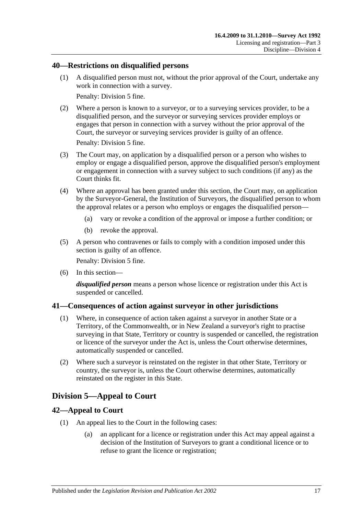### <span id="page-16-0"></span>**40—Restrictions on disqualified persons**

(1) A disqualified person must not, without the prior approval of the Court, undertake any work in connection with a survey.

Penalty: Division 5 fine.

(2) Where a person is known to a surveyor, or to a surveying services provider, to be a disqualified person, and the surveyor or surveying services provider employs or engages that person in connection with a survey without the prior approval of the Court, the surveyor or surveying services provider is guilty of an offence.

Penalty: Division 5 fine.

- (3) The Court may, on application by a disqualified person or a person who wishes to employ or engage a disqualified person, approve the disqualified person's employment or engagement in connection with a survey subject to such conditions (if any) as the Court thinks fit.
- (4) Where an approval has been granted under this section, the Court may, on application by the Surveyor-General, the Institution of Surveyors, the disqualified person to whom the approval relates or a person who employs or engages the disqualified person—
	- (a) vary or revoke a condition of the approval or impose a further condition; or
	- (b) revoke the approval.
- (5) A person who contravenes or fails to comply with a condition imposed under this section is guilty of an offence.

Penalty: Division 5 fine.

(6) In this section—

*disqualified person* means a person whose licence or registration under this Act is suspended or cancelled.

#### <span id="page-16-1"></span>**41—Consequences of action against surveyor in other jurisdictions**

- (1) Where, in consequence of action taken against a surveyor in another State or a Territory, of the Commonwealth, or in New Zealand a surveyor's right to practise surveying in that State, Territory or country is suspended or cancelled, the registration or licence of the surveyor under the Act is, unless the Court otherwise determines, automatically suspended or cancelled.
- (2) Where such a surveyor is reinstated on the register in that other State, Territory or country, the surveyor is, unless the Court otherwise determines, automatically reinstated on the register in this State.

## <span id="page-16-2"></span>**Division 5—Appeal to Court**

## <span id="page-16-3"></span>**42—Appeal to Court**

- (1) An appeal lies to the Court in the following cases:
	- (a) an applicant for a licence or registration under this Act may appeal against a decision of the Institution of Surveyors to grant a conditional licence or to refuse to grant the licence or registration;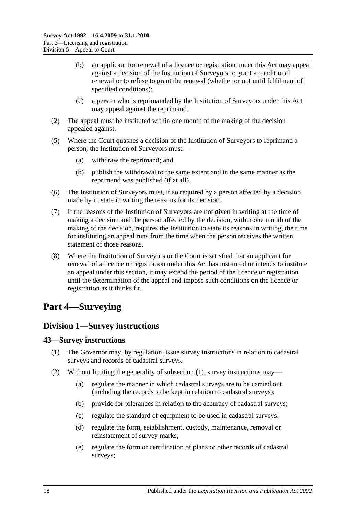- (b) an applicant for renewal of a licence or registration under this Act may appeal against a decision of the Institution of Surveyors to grant a conditional renewal or to refuse to grant the renewal (whether or not until fulfilment of specified conditions);
- (c) a person who is reprimanded by the Institution of Surveyors under this Act may appeal against the reprimand.
- (2) The appeal must be instituted within one month of the making of the decision appealed against.
- (5) Where the Court quashes a decision of the Institution of Surveyors to reprimand a person, the Institution of Surveyors must—
	- (a) withdraw the reprimand; and
	- (b) publish the withdrawal to the same extent and in the same manner as the reprimand was published (if at all).
- (6) The Institution of Surveyors must, if so required by a person affected by a decision made by it, state in writing the reasons for its decision.
- (7) If the reasons of the Institution of Surveyors are not given in writing at the time of making a decision and the person affected by the decision, within one month of the making of the decision, requires the Institution to state its reasons in writing, the time for instituting an appeal runs from the time when the person receives the written statement of those reasons.
- (8) Where the Institution of Surveyors or the Court is satisfied that an applicant for renewal of a licence or registration under this Act has instituted or intends to institute an appeal under this section, it may extend the period of the licence or registration until the determination of the appeal and impose such conditions on the licence or registration as it thinks fit.

## <span id="page-17-0"></span>**Part 4—Surveying**

## <span id="page-17-1"></span>**Division 1—Survey instructions**

## <span id="page-17-3"></span><span id="page-17-2"></span>**43—Survey instructions**

- (1) The Governor may, by regulation, issue survey instructions in relation to cadastral surveys and records of cadastral surveys.
- <span id="page-17-4"></span>(2) Without limiting the generality of [subsection](#page-17-3) (1), survey instructions may—
	- (a) regulate the manner in which cadastral surveys are to be carried out (including the records to be kept in relation to cadastral surveys);
	- (b) provide for tolerances in relation to the accuracy of cadastral surveys;
	- (c) regulate the standard of equipment to be used in cadastral surveys;
	- (d) regulate the form, establishment, custody, maintenance, removal or reinstatement of survey marks;
	- (e) regulate the form or certification of plans or other records of cadastral surveys;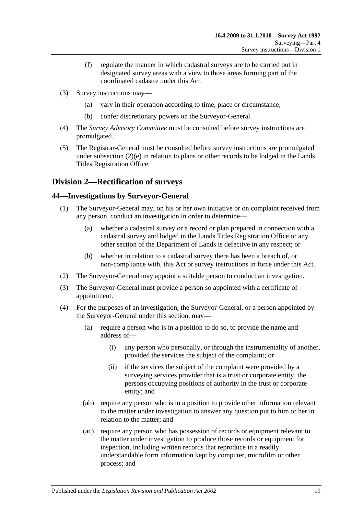- (f) regulate the manner in which cadastral surveys are to be carried out in designated survey areas with a view to those areas forming part of the coordinated cadastre under this Act.
- (3) Survey instructions may—
	- (a) vary in their operation according to time, place or circumstance;
	- (b) confer discretionary powers on the Surveyor-General.
- (4) The *Survey Advisory Committee* must be consulted before survey instructions are promulgated.
- (5) The Registrar-General must be consulted before survey instructions are promulgated under [subsection](#page-17-4)  $(2)(e)$  in relation to plans or other records to be lodged in the Lands Titles Registration Office.

## <span id="page-18-0"></span>**Division 2—Rectification of surveys**

## <span id="page-18-1"></span>**44—Investigations by Surveyor-General**

- (1) The Surveyor-General may, on his or her own initiative or on complaint received from any person, conduct an investigation in order to determine—
	- (a) whether a cadastral survey or a record or plan prepared in connection with a cadastral survey and lodged in the Lands Titles Registration Office or any other section of the Department of Lands is defective in any respect; or
	- (b) whether in relation to a cadastral survey there has been a breach of, or non-compliance with, this Act or survey instructions in force under this Act.
- (2) The Surveyor-General may appoint a suitable person to conduct an investigation.
- (3) The Surveyor-General must provide a person so appointed with a certificate of appointment.
- (4) For the purposes of an investigation, the Surveyor-General, or a person appointed by the Surveyor-General under this section, may—
	- (a) require a person who is in a position to do so, to provide the name and address of—
		- (i) any person who personally, or through the instrumentality of another, provided the services the subject of the complaint; or
		- (ii) if the services the subject of the complaint were provided by a surveying services provider that is a trust or corporate entity, the persons occupying positions of authority in the trust or corporate entity; and
	- (ab) require any person who is in a position to provide other information relevant to the matter under investigation to answer any question put to him or her in relation to the matter; and
	- (ac) require any person who has possession of records or equipment relevant to the matter under investigation to produce those records or equipment for inspection, including written records that reproduce in a readily understandable form information kept by computer, microfilm or other process; and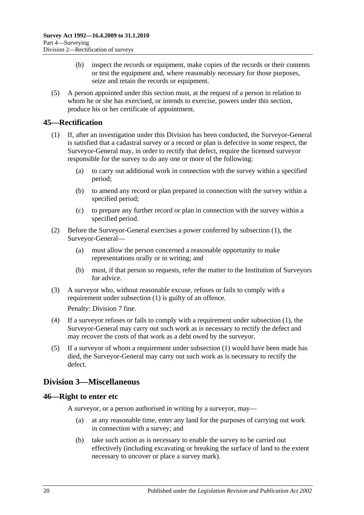- (b) inspect the records or equipment, make copies of the records or their contents or test the equipment and, where reasonably necessary for those purposes, seize and retain the records or equipment.
- (5) A person appointed under this section must, at the request of a person in relation to whom he or she has exercised, or intends to exercise, powers under this section, produce his or her certificate of appointment.

## <span id="page-19-3"></span><span id="page-19-0"></span>**45—Rectification**

- (1) If, after an investigation under this Division has been conducted, the Surveyor-General is satisfied that a cadastral survey or a record or plan is defective in some respect, the Surveyor-General may, in order to rectify that defect, require the licensed surveyor responsible for the survey to do any one or more of the following:
	- (a) to carry out additional work in connection with the survey within a specified period;
	- (b) to amend any record or plan prepared in connection with the survey within a specified period;
	- (c) to prepare any further record or plan in connection with the survey within a specified period.
- (2) Before the Surveyor-General exercises a power conferred by [subsection](#page-19-3) (1), the Surveyor-General—
	- (a) must allow the person concerned a reasonable opportunity to make representations orally or in writing; and
	- (b) must, if that person so requests, refer the matter to the Institution of Surveyors for advice.
- (3) A surveyor who, without reasonable excuse, refuses or fails to comply with a requirement under [subsection](#page-19-3) (1) is guilty of an offence.

Penalty: Division 7 fine.

- (4) If a surveyor refuses or fails to comply with a requirement under [subsection](#page-19-3) (1), the Surveyor-General may carry out such work as is necessary to rectify the defect and may recover the costs of that work as a debt owed by the surveyor.
- (5) If a surveyor of whom a requirement under [subsection](#page-19-3) (1) would have been made has died, the Surveyor-General may carry out such work as is necessary to rectify the defect.

## <span id="page-19-1"></span>**Division 3—Miscellaneous**

## <span id="page-19-2"></span>**46—Right to enter etc**

A surveyor, or a person authorised in writing by a surveyor, may—

- (a) at any reasonable time, enter any land for the purposes of carrying out work in connection with a survey; and
- (b) take such action as is necessary to enable the survey to be carried out effectively (including excavating or breaking the surface of land to the extent necessary to uncover or place a survey mark).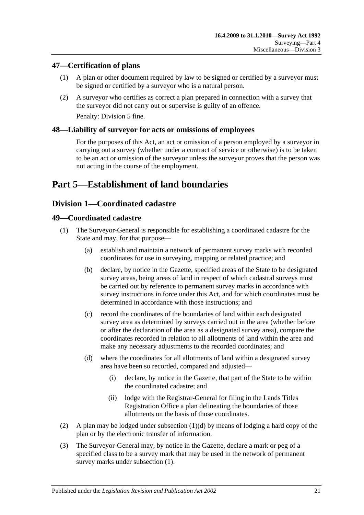## <span id="page-20-0"></span>**47—Certification of plans**

- (1) A plan or other document required by law to be signed or certified by a surveyor must be signed or certified by a surveyor who is a natural person.
- (2) A surveyor who certifies as correct a plan prepared in connection with a survey that the surveyor did not carry out or supervise is guilty of an offence. Penalty: Division 5 fine.

## <span id="page-20-1"></span>**48—Liability of surveyor for acts or omissions of employees**

For the purposes of this Act, an act or omission of a person employed by a surveyor in carrying out a survey (whether under a contract of service or otherwise) is to be taken to be an act or omission of the surveyor unless the surveyor proves that the person was not acting in the course of the employment.

## <span id="page-20-2"></span>**Part 5—Establishment of land boundaries**

## <span id="page-20-3"></span>**Division 1—Coordinated cadastre**

#### <span id="page-20-6"></span><span id="page-20-4"></span>**49—Coordinated cadastre**

- (1) The Surveyor-General is responsible for establishing a coordinated cadastre for the State and may, for that purpose—
	- (a) establish and maintain a network of permanent survey marks with recorded coordinates for use in surveying, mapping or related practice; and
	- (b) declare, by notice in the Gazette, specified areas of the State to be designated survey areas, being areas of land in respect of which cadastral surveys must be carried out by reference to permanent survey marks in accordance with survey instructions in force under this Act, and for which coordinates must be determined in accordance with those instructions; and
	- (c) record the coordinates of the boundaries of land within each designated survey area as determined by surveys carried out in the area (whether before or after the declaration of the area as a designated survey area), compare the coordinates recorded in relation to all allotments of land within the area and make any necessary adjustments to the recorded coordinates; and
	- (d) where the coordinates for all allotments of land within a designated survey area have been so recorded, compared and adjusted—
		- (i) declare, by notice in the Gazette, that part of the State to be within the coordinated cadastre; and
		- (ii) lodge with the Registrar-General for filing in the Lands Titles Registration Office a plan delineating the boundaries of those allotments on the basis of those coordinates.
- <span id="page-20-5"></span>(2) A plan may be lodged under [subsection](#page-20-5) (1)(d) by means of lodging a hard copy of the plan or by the electronic transfer of information.
- <span id="page-20-7"></span>(3) The Surveyor-General may, by notice in the Gazette, declare a mark or peg of a specified class to be a survey mark that may be used in the network of permanent survey marks under [subsection](#page-20-6) (1).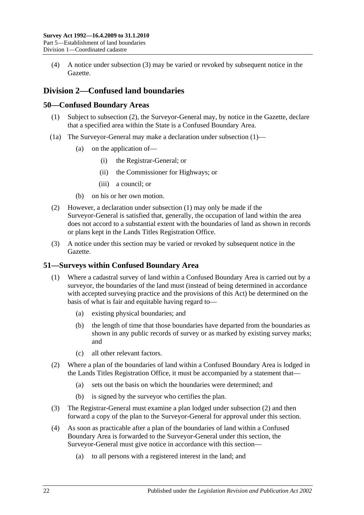(4) A notice under [subsection](#page-20-7) (3) may be varied or revoked by subsequent notice in the Gazette.

## <span id="page-21-0"></span>**Division 2—Confused land boundaries**

## <span id="page-21-4"></span><span id="page-21-1"></span>**50—Confused Boundary Areas**

- (1) Subject to [subsection](#page-21-3) (2), the Surveyor-General may, by notice in the Gazette, declare that a specified area within the State is a Confused Boundary Area.
- (1a) The Surveyor-General may make a declaration under [subsection](#page-21-4) (1)—
	- (a) on the application of—
		- (i) the Registrar-General; or
		- (ii) the Commissioner for Highways; or
		- (iii) a council; or
	- (b) on his or her own motion.
- <span id="page-21-3"></span>(2) However, a declaration under [subsection](#page-21-4) (1) may only be made if the Surveyor-General is satisfied that, generally, the occupation of land within the area does not accord to a substantial extent with the boundaries of land as shown in records or plans kept in the Lands Titles Registration Office.
- (3) A notice under this section may be varied or revoked by subsequent notice in the Gazette.

## <span id="page-21-2"></span>**51—Surveys within Confused Boundary Area**

- (1) Where a cadastral survey of land within a Confused Boundary Area is carried out by a surveyor, the boundaries of the land must (instead of being determined in accordance with accepted surveying practice and the provisions of this Act) be determined on the basis of what is fair and equitable having regard to—
	- (a) existing physical boundaries; and
	- (b) the length of time that those boundaries have departed from the boundaries as shown in any public records of survey or as marked by existing survey marks; and
	- (c) all other relevant factors.
- <span id="page-21-5"></span>(2) Where a plan of the boundaries of land within a Confused Boundary Area is lodged in the Lands Titles Registration Office, it must be accompanied by a statement that—
	- (a) sets out the basis on which the boundaries were determined; and
	- (b) is signed by the surveyor who certifies the plan.
- (3) The Registrar-General must examine a plan lodged under [subsection](#page-21-5) (2) and then forward a copy of the plan to the Surveyor-General for approval under this section.
- <span id="page-21-6"></span>(4) As soon as practicable after a plan of the boundaries of land within a Confused Boundary Area is forwarded to the Surveyor-General under this section, the Surveyor-General must give notice in accordance with this section—
	- (a) to all persons with a registered interest in the land; and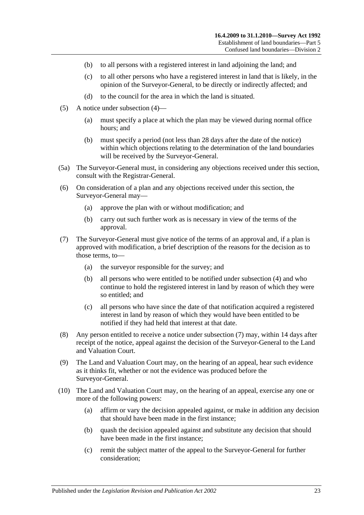- (b) to all persons with a registered interest in land adjoining the land; and
- (c) to all other persons who have a registered interest in land that is likely, in the opinion of the Surveyor-General, to be directly or indirectly affected; and
- (d) to the council for the area in which the land is situated.
- (5) A notice under [subsection](#page-21-6) (4)—
	- (a) must specify a place at which the plan may be viewed during normal office hours; and
	- (b) must specify a period (not less than 28 days after the date of the notice) within which objections relating to the determination of the land boundaries will be received by the Surveyor-General.
- (5a) The Surveyor-General must, in considering any objections received under this section, consult with the Registrar-General.
- (6) On consideration of a plan and any objections received under this section, the Surveyor-General may—
	- (a) approve the plan with or without modification; and
	- (b) carry out such further work as is necessary in view of the terms of the approval.
- <span id="page-22-0"></span>(7) The Surveyor-General must give notice of the terms of an approval and, if a plan is approved with modification, a brief description of the reasons for the decision as to those terms, to—
	- (a) the surveyor responsible for the survey; and
	- (b) all persons who were entitled to be notified under [subsection](#page-21-6) (4) and who continue to hold the registered interest in land by reason of which they were so entitled; and
	- (c) all persons who have since the date of that notification acquired a registered interest in land by reason of which they would have been entitled to be notified if they had held that interest at that date.
- (8) Any person entitled to receive a notice under [subsection](#page-22-0) (7) may, within 14 days after receipt of the notice, appeal against the decision of the Surveyor-General to the Land and Valuation Court.
- (9) The Land and Valuation Court may, on the hearing of an appeal, hear such evidence as it thinks fit, whether or not the evidence was produced before the Surveyor-General.
- (10) The Land and Valuation Court may, on the hearing of an appeal, exercise any one or more of the following powers:
	- (a) affirm or vary the decision appealed against, or make in addition any decision that should have been made in the first instance;
	- (b) quash the decision appealed against and substitute any decision that should have been made in the first instance;
	- (c) remit the subject matter of the appeal to the Surveyor-General for further consideration;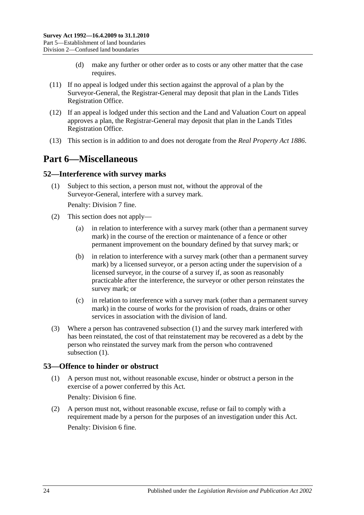- (d) make any further or other order as to costs or any other matter that the case requires.
- (11) If no appeal is lodged under this section against the approval of a plan by the Surveyor-General, the Registrar-General may deposit that plan in the Lands Titles Registration Office.
- (12) If an appeal is lodged under this section and the Land and Valuation Court on appeal approves a plan, the Registrar-General may deposit that plan in the Lands Titles Registration Office.
- <span id="page-23-0"></span>(13) This section is in addition to and does not derogate from the *[Real Property Act](http://www.legislation.sa.gov.au/index.aspx?action=legref&type=act&legtitle=Real%20Property%20Act%201886) 1886*.

## **Part 6—Miscellaneous**

#### <span id="page-23-3"></span><span id="page-23-1"></span>**52—Interference with survey marks**

(1) Subject to this section, a person must not, without the approval of the Surveyor-General, interfere with a survey mark.

Penalty: Division 7 fine.

- (2) This section does not apply—
	- (a) in relation to interference with a survey mark (other than a permanent survey mark) in the course of the erection or maintenance of a fence or other permanent improvement on the boundary defined by that survey mark; or
	- (b) in relation to interference with a survey mark (other than a permanent survey mark) by a licensed surveyor, or a person acting under the supervision of a licensed surveyor, in the course of a survey if, as soon as reasonably practicable after the interference, the surveyor or other person reinstates the survey mark; or
	- (c) in relation to interference with a survey mark (other than a permanent survey mark) in the course of works for the provision of roads, drains or other services in association with the division of land.
- (3) Where a person has contravened [subsection](#page-23-3) (1) and the survey mark interfered with has been reinstated, the cost of that reinstatement may be recovered as a debt by the person who reinstated the survey mark from the person who contravened [subsection](#page-23-3)  $(1)$ .

## <span id="page-23-2"></span>**53—Offence to hinder or obstruct**

(1) A person must not, without reasonable excuse, hinder or obstruct a person in the exercise of a power conferred by this Act.

Penalty: Division 6 fine.

(2) A person must not, without reasonable excuse, refuse or fail to comply with a requirement made by a person for the purposes of an investigation under this Act. Penalty: Division 6 fine.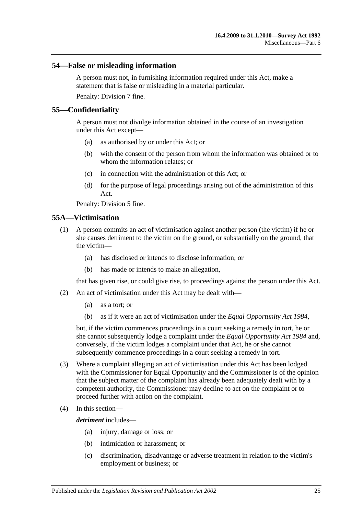#### <span id="page-24-0"></span>**54—False or misleading information**

A person must not, in furnishing information required under this Act, make a statement that is false or misleading in a material particular. Penalty: Division 7 fine.

#### <span id="page-24-1"></span>**55—Confidentiality**

A person must not divulge information obtained in the course of an investigation under this Act except—

- (a) as authorised by or under this Act; or
- (b) with the consent of the person from whom the information was obtained or to whom the information relates; or
- (c) in connection with the administration of this Act; or
- (d) for the purpose of legal proceedings arising out of the administration of this Act.

Penalty: Division 5 fine.

### <span id="page-24-2"></span>**55A—Victimisation**

- (1) A person commits an act of victimisation against another person (the victim) if he or she causes detriment to the victim on the ground, or substantially on the ground, that the victim—
	- (a) has disclosed or intends to disclose information; or
	- (b) has made or intends to make an allegation,

that has given rise, or could give rise, to proceedings against the person under this Act.

- (2) An act of victimisation under this Act may be dealt with—
	- (a) as a tort; or
	- (b) as if it were an act of victimisation under the *[Equal Opportunity Act](http://www.legislation.sa.gov.au/index.aspx?action=legref&type=act&legtitle=Equal%20Opportunity%20Act%201984) 1984*,

but, if the victim commences proceedings in a court seeking a remedy in tort, he or she cannot subsequently lodge a complaint under the *[Equal Opportunity Act](http://www.legislation.sa.gov.au/index.aspx?action=legref&type=act&legtitle=Equal%20Opportunity%20Act%201984) 1984* and, conversely, if the victim lodges a complaint under that Act, he or she cannot subsequently commence proceedings in a court seeking a remedy in tort.

- (3) Where a complaint alleging an act of victimisation under this Act has been lodged with the Commissioner for Equal Opportunity and the Commissioner is of the opinion that the subject matter of the complaint has already been adequately dealt with by a competent authority, the Commissioner may decline to act on the complaint or to proceed further with action on the complaint.
- (4) In this section—

*detriment* includes—

- (a) injury, damage or loss; or
- (b) intimidation or harassment; or
- (c) discrimination, disadvantage or adverse treatment in relation to the victim's employment or business; or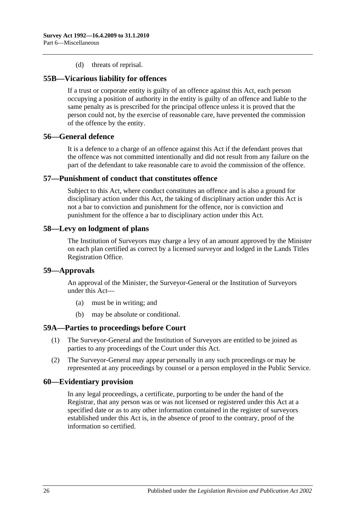#### (d) threats of reprisal.

#### <span id="page-25-0"></span>**55B—Vicarious liability for offences**

If a trust or corporate entity is guilty of an offence against this Act, each person occupying a position of authority in the entity is guilty of an offence and liable to the same penalty as is prescribed for the principal offence unless it is proved that the person could not, by the exercise of reasonable care, have prevented the commission of the offence by the entity.

#### <span id="page-25-1"></span>**56—General defence**

It is a defence to a charge of an offence against this Act if the defendant proves that the offence was not committed intentionally and did not result from any failure on the part of the defendant to take reasonable care to avoid the commission of the offence.

#### <span id="page-25-2"></span>**57—Punishment of conduct that constitutes offence**

Subject to this Act, where conduct constitutes an offence and is also a ground for disciplinary action under this Act, the taking of disciplinary action under this Act is not a bar to conviction and punishment for the offence, nor is conviction and punishment for the offence a bar to disciplinary action under this Act.

#### <span id="page-25-3"></span>**58—Levy on lodgment of plans**

The Institution of Surveyors may charge a levy of an amount approved by the Minister on each plan certified as correct by a licensed surveyor and lodged in the Lands Titles Registration Office.

#### <span id="page-25-4"></span>**59—Approvals**

An approval of the Minister, the Surveyor-General or the Institution of Surveyors under this Act—

- (a) must be in writing; and
- (b) may be absolute or conditional.

#### <span id="page-25-5"></span>**59A—Parties to proceedings before Court**

- (1) The Surveyor-General and the Institution of Surveyors are entitled to be joined as parties to any proceedings of the Court under this Act.
- (2) The Surveyor-General may appear personally in any such proceedings or may be represented at any proceedings by counsel or a person employed in the Public Service.

#### <span id="page-25-6"></span>**60—Evidentiary provision**

In any legal proceedings, a certificate, purporting to be under the hand of the Registrar, that any person was or was not licensed or registered under this Act at a specified date or as to any other information contained in the register of surveyors established under this Act is, in the absence of proof to the contrary, proof of the information so certified.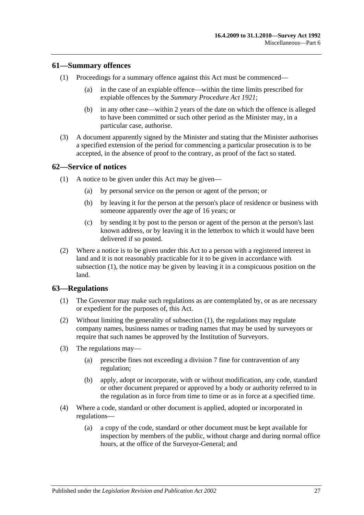#### <span id="page-26-0"></span>**61—Summary offences**

- (1) Proceedings for a summary offence against this Act must be commenced—
	- (a) in the case of an expiable offence—within the time limits prescribed for expiable offences by the *[Summary Procedure Act](http://www.legislation.sa.gov.au/index.aspx?action=legref&type=act&legtitle=Summary%20Procedure%20Act%201921) 1921*;
	- (b) in any other case—within 2 years of the date on which the offence is alleged to have been committed or such other period as the Minister may, in a particular case, authorise.
- (3) A document apparently signed by the Minister and stating that the Minister authorises a specified extension of the period for commencing a particular prosecution is to be accepted, in the absence of proof to the contrary, as proof of the fact so stated.

#### <span id="page-26-3"></span><span id="page-26-1"></span>**62—Service of notices**

- (1) A notice to be given under this Act may be given—
	- (a) by personal service on the person or agent of the person; or
	- (b) by leaving it for the person at the person's place of residence or business with someone apparently over the age of 16 years; or
	- (c) by sending it by post to the person or agent of the person at the person's last known address, or by leaving it in the letterbox to which it would have been delivered if so posted.
- (2) Where a notice is to be given under this Act to a person with a registered interest in land and it is not reasonably practicable for it to be given in accordance with [subsection](#page-26-3) (1), the notice may be given by leaving it in a conspicuous position on the land.

## <span id="page-26-4"></span><span id="page-26-2"></span>**63—Regulations**

- (1) The Governor may make such regulations as are contemplated by, or as are necessary or expedient for the purposes of, this Act.
- (2) Without limiting the generality of [subsection](#page-26-4) (1), the regulations may regulate company names, business names or trading names that may be used by surveyors or require that such names be approved by the Institution of Surveyors.
- (3) The regulations may—
	- (a) prescribe fines not exceeding a division 7 fine for contravention of any regulation;
	- (b) apply, adopt or incorporate, with or without modification, any code, standard or other document prepared or approved by a body or authority referred to in the regulation as in force from time to time or as in force at a specified time.
- (4) Where a code, standard or other document is applied, adopted or incorporated in regulations—
	- (a) a copy of the code, standard or other document must be kept available for inspection by members of the public, without charge and during normal office hours, at the office of the Surveyor-General; and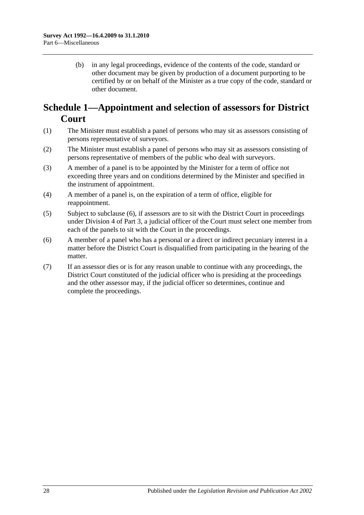(b) in any legal proceedings, evidence of the contents of the code, standard or other document may be given by production of a document purporting to be certified by or on behalf of the Minister as a true copy of the code, standard or other document.

## <span id="page-27-0"></span>**Schedule 1—Appointment and selection of assessors for District Court**

- (1) The Minister must establish a panel of persons who may sit as assessors consisting of persons representative of surveyors.
- (2) The Minister must establish a panel of persons who may sit as assessors consisting of persons representative of members of the public who deal with surveyors.
- (3) A member of a panel is to be appointed by the Minister for a term of office not exceeding three years and on conditions determined by the Minister and specified in the instrument of appointment.
- (4) A member of a panel is, on the expiration of a term of office, eligible for reappointment.
- (5) Subject to [subclause](#page-27-1) (6), if assessors are to sit with the District Court in proceedings under [Division 4](#page-12-3) of [Part 3,](#page-8-0) a judicial officer of the Court must select one member from each of the panels to sit with the Court in the proceedings.
- <span id="page-27-1"></span>(6) A member of a panel who has a personal or a direct or indirect pecuniary interest in a matter before the District Court is disqualified from participating in the hearing of the matter.
- (7) If an assessor dies or is for any reason unable to continue with any proceedings, the District Court constituted of the judicial officer who is presiding at the proceedings and the other assessor may, if the judicial officer so determines, continue and complete the proceedings.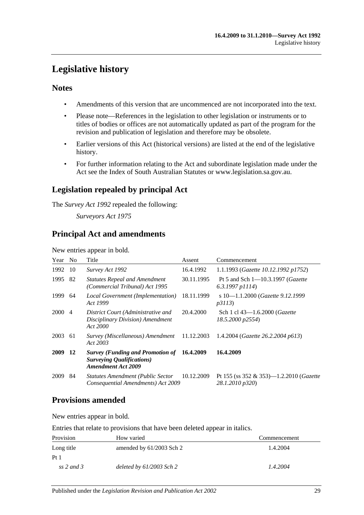## <span id="page-28-0"></span>**Legislative history**

## **Notes**

- Amendments of this version that are uncommenced are not incorporated into the text.
- Please note—References in the legislation to other legislation or instruments or to titles of bodies or offices are not automatically updated as part of the program for the revision and publication of legislation and therefore may be obsolete.
- Earlier versions of this Act (historical versions) are listed at the end of the legislative history.
- For further information relating to the Act and subordinate legislation made under the Act see the Index of South Australian Statutes or www.legislation.sa.gov.au.

## **Legislation repealed by principal Act**

The *Survey Act 1992* repealed the following:

*Surveyors Act 1975*

## **Principal Act and amendments**

New entries appear in bold.

| Year        | N <sub>o</sub> | Title                                                                                                               | Assent     | Commencement                                                           |
|-------------|----------------|---------------------------------------------------------------------------------------------------------------------|------------|------------------------------------------------------------------------|
| 1992        | 10             | Survey Act 1992                                                                                                     | 16.4.1992  | 1.1.1993 (Gazette 10.12.1992 p1752)                                    |
| 1995        | 82             | <b>Statutes Repeal and Amendment</b><br>(Commercial Tribunal) Act 1995                                              | 30.11.1995 | Pt 5 and Sch $1 - 10.3.1997$ ( <i>Gazette</i><br>$6.3.1997$ p $1114$ ) |
| 1999        | 64             | Local Government (Implementation)<br>Act 1999                                                                       | 18.11.1999 | s 10-1.1.2000 (Gazette 9.12.1999)<br><i>p3113</i> )                    |
| <b>2000</b> | $\overline{4}$ | District Court (Administrative and<br>Disciplinary Division) Amendment<br>Act 2000                                  | 20.4.2000  | Sch 1 cl 43–1.6.2000 ( <i>Gazette</i><br>18.5.2000 p2554)              |
| 2003        | -61            | Survey (Miscellaneous) Amendment 11.12.2003<br>Act 2003                                                             |            | 1.4.2004 ( <i>Gazette</i> 26.2.2004 p613)                              |
| 2009        | 12             | <b>Survey (Funding and Promotion of 16.4.2009</b><br><b>Surveying Qualifications</b> )<br><b>Amendment Act 2009</b> |            | 16.4.2009                                                              |
| 2009        | 84             | <b>Statutes Amendment (Public Sector</b><br>Consequential Amendments) Act 2009                                      | 10.12.2009 | Pt 155 (ss 352 & 353)-1.2.2010 (Gazette<br>28.1.2010 p320)             |

## **Provisions amended**

New entries appear in bold.

Entries that relate to provisions that have been deleted appear in italics.

| Provision       | How varied                 | Commencement |
|-----------------|----------------------------|--------------|
| Long title      | amended by $61/2003$ Sch 2 | 1.4.2004     |
| Pt <sub>1</sub> |                            |              |
| ss 2 and 3      | deleted by 61/2003 Sch 2   | 1.4.2004     |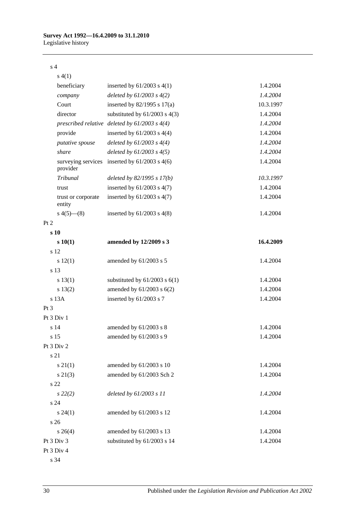#### s 4

| s(4(1))                        |                                                   |           |
|--------------------------------|---------------------------------------------------|-----------|
| beneficiary                    | inserted by $61/2003$ s $4(1)$                    | 1.4.2004  |
| company                        | deleted by $61/2003$ s $4(2)$                     | 1.4.2004  |
| Court                          | inserted by $82/1995$ s $17(a)$                   | 10.3.1997 |
| director                       | substituted by $61/2003$ s $4(3)$                 | 1.4.2004  |
|                                | prescribed relative deleted by $61/2003$ s $4(4)$ | 1.4.2004  |
| provide                        | inserted by $61/2003$ s $4(4)$                    | 1.4.2004  |
| putative spouse                | deleted by $61/2003$ s $4(4)$                     | 1.4.2004  |
| share                          | deleted by $61/2003$ s $4(5)$                     | 1.4.2004  |
| surveying services<br>provider | inserted by $61/2003$ s $4(6)$                    | 1.4.2004  |
| Tribunal                       | deleted by $82/1995 s 17(b)$                      | 10.3.1997 |
| trust                          | inserted by $61/2003$ s $4(7)$                    | 1.4.2004  |
| trust or corporate<br>entity   | inserted by $61/2003$ s $4(7)$                    | 1.4.2004  |
| $s\ 4(5)$ — $(8)$              | inserted by $61/2003$ s $4(8)$                    | 1.4.2004  |
| Pt 2                           |                                                   |           |
| s <sub>10</sub>                |                                                   |           |
| s 10(1)                        | amended by 12/2009 s 3                            | 16.4.2009 |
| s 12                           |                                                   |           |
| s 12(1)                        | amended by 61/2003 s 5                            | 1.4.2004  |
| s 13                           |                                                   |           |
| s 13(1)                        | substituted by $61/2003$ s $6(1)$                 | 1.4.2004  |
| s 13(2)                        | amended by $61/2003$ s $6(2)$                     | 1.4.2004  |
| s 13A                          | inserted by 61/2003 s 7                           | 1.4.2004  |
| Pt <sub>3</sub>                |                                                   |           |
| Pt 3 Div 1                     |                                                   |           |
| s 14                           | amended by $61/2003$ s 8                          | 1.4.2004  |
| s 15                           | amended by 61/2003 s 9                            | 1.4.2004  |
| Pt 3 Div 2                     |                                                   |           |
| s 21                           |                                                   |           |
| $s \, 21(1)$                   | amended by 61/2003 s 10                           | 1.4.2004  |
| $s\ 21(3)$                     | amended by 61/2003 Sch 2                          | 1.4.2004  |
| s 22                           |                                                   |           |
| $s\,22(2)$                     | deleted by 61/2003 s 11                           | 1.4.2004  |
| s <sub>24</sub>                |                                                   |           |
| $s\,24(1)$                     | amended by 61/2003 s 12                           | 1.4.2004  |
| s <sub>26</sub>                |                                                   |           |
| $s \; 26(4)$                   | amended by 61/2003 s 13                           | 1.4.2004  |
| Pt 3 Div 3                     | substituted by 61/2003 s 14                       | 1.4.2004  |
| Pt 3 Div 4                     |                                                   |           |

s 34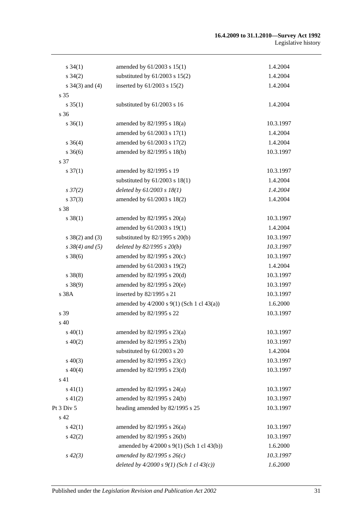#### **16.4.2009 to 31.1.2010—Survey Act 1992** Legislative history

| $s \, 34(1)$         | amended by 61/2003 s 15(1)                       | 1.4.2004  |
|----------------------|--------------------------------------------------|-----------|
| $s \, 34(2)$         | substituted by $61/2003$ s $15(2)$               | 1.4.2004  |
| s $34(3)$ and $(4)$  | inserted by 61/2003 s 15(2)                      | 1.4.2004  |
| s 35                 |                                                  |           |
| $s \, 35(1)$         | substituted by 61/2003 s 16                      | 1.4.2004  |
| s 36                 |                                                  |           |
| $s \; 36(1)$         | amended by $82/1995$ s $18(a)$                   | 10.3.1997 |
|                      | amended by 61/2003 s 17(1)                       | 1.4.2004  |
| $s \; 36(4)$         | amended by 61/2003 s 17(2)                       | 1.4.2004  |
| $s \; 36(6)$         | amended by 82/1995 s 18(b)                       | 10.3.1997 |
| s 37                 |                                                  |           |
| $s \frac{37(1)}{2}$  | amended by 82/1995 s 19                          | 10.3.1997 |
|                      | substituted by $61/2003$ s $18(1)$               | 1.4.2004  |
| $s \frac{37}{2}$     | deleted by $61/2003$ s $18(1)$                   | 1.4.2004  |
| $s \frac{37(3)}{2}$  | amended by 61/2003 s 18(2)                       | 1.4.2004  |
| s 38                 |                                                  |           |
| $s \ 38(1)$          | amended by $82/1995$ s $20(a)$                   | 10.3.1997 |
|                      | amended by 61/2003 s 19(1)                       | 1.4.2004  |
| $s \ 38(2)$ and (3)  | substituted by $82/1995$ s $20(b)$               | 10.3.1997 |
| $s \, 38(4)$ and (5) | deleted by $82/1995 s 20(b)$                     | 10.3.1997 |
| $s \, 38(6)$         | amended by $82/1995$ s $20(c)$                   | 10.3.1997 |
|                      | amended by 61/2003 s 19(2)                       | 1.4.2004  |
| $s \ 38(8)$          | amended by $82/1995$ s $20(d)$                   | 10.3.1997 |
| s 38(9)              | amended by 82/1995 s 20(e)                       | 10.3.1997 |
| s 38A                | inserted by 82/1995 s 21                         | 10.3.1997 |
|                      | amended by $4/2000$ s $9(1)$ (Sch 1 cl $43(a)$ ) | 1.6.2000  |
| s 39                 | amended by 82/1995 s 22                          | 10.3.1997 |
| s 40                 |                                                  |           |
| $s\,40(1)$           | amended by $82/1995$ s $23(a)$                   | 10.3.1997 |
| $s\ 40(2)$           | amended by 82/1995 s 23(b)                       | 10.3.1997 |
|                      | substituted by 61/2003 s 20                      | 1.4.2004  |
| $s\ 40(3)$           | amended by 82/1995 s 23(c)                       | 10.3.1997 |
| $s\ 40(4)$           | amended by 82/1995 s 23(d)                       | 10.3.1997 |
| s 41                 |                                                  |           |
| $s\ 41(1)$           | amended by $82/1995$ s $24(a)$                   | 10.3.1997 |
| $s\ 41(2)$           | amended by 82/1995 s 24(b)                       | 10.3.1997 |
| Pt 3 Div 5           | heading amended by 82/1995 s 25                  | 10.3.1997 |
| s 42                 |                                                  |           |
| $s\ 42(1)$           | amended by $82/1995$ s $26(a)$                   | 10.3.1997 |
| $s\ 42(2)$           | amended by 82/1995 s 26(b)                       | 10.3.1997 |
|                      | amended by 4/2000 s 9(1) (Sch 1 cl 43(b))        | 1.6.2000  |
| $s\,42(3)$           | amended by 82/1995 s $26(c)$                     | 10.3.1997 |
|                      | deleted by $4/2000 s 9(1)$ (Sch 1 cl $43(c)$ )   | 1.6.2000  |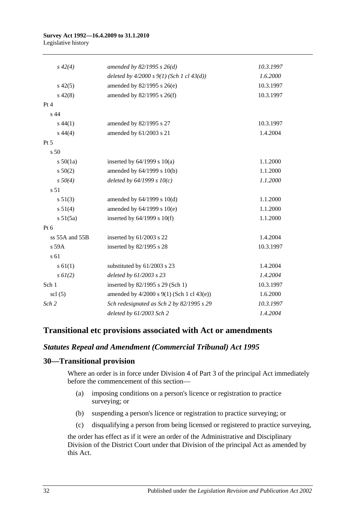#### **Survey Act 1992—16.4.2009 to 31.1.2010** Legislative history

| $s\,42(4)$      | amended by $82/1995 s 26(d)$                   | 10.3.1997 |
|-----------------|------------------------------------------------|-----------|
|                 | deleted by $4/2000 s 9(1)$ (Sch 1 cl $43(d)$ ) | 1.6.2000  |
| $s\,42(5)$      | amended by 82/1995 s 26(e)                     | 10.3.1997 |
| $s\ 42(8)$      | amended by 82/1995 s 26(f)                     | 10.3.1997 |
| Pt 4            |                                                |           |
| s <sub>44</sub> |                                                |           |
| $s\,44(1)$      | amended by 82/1995 s 27                        | 10.3.1997 |
| $s\,44(4)$      | amended by 61/2003 s 21                        | 1.4.2004  |
| Pt 5            |                                                |           |
| s <sub>50</sub> |                                                |           |
| s 50(1a)        | inserted by $64/1999$ s $10(a)$                | 1.1.2000  |
| s 50(2)         | amended by 64/1999 s 10(b)                     | 1.1.2000  |
| $s\,50(4)$      | deleted by $64/1999 s 10(c)$                   | 1.1.2000  |
| s 51            |                                                |           |
| s 51(3)         | amended by 64/1999 s 10(d)                     | 1.1.2000  |
| s 51(4)         | amended by $64/1999$ s $10(e)$                 | 1.1.2000  |
| s 51(5a)        | inserted by $64/1999$ s $10(f)$                | 1.1.2000  |
| $Pt\ 6$         |                                                |           |
| ss 55A and 55B  | inserted by 61/2003 s 22                       | 1.4.2004  |
| $s$ 59 $A$      | inserted by 82/1995 s 28                       | 10.3.1997 |
| s 61            |                                                |           |
| $s \, 61(1)$    | substituted by 61/2003 s 23                    | 1.4.2004  |
| $s \, 6l(2)$    | deleted by 61/2003 s 23                        | 1.4.2004  |
| Sch 1           | inserted by 82/1995 s 29 (Sch 1)               | 10.3.1997 |
| $\text{sc}$ (5) | amended by 4/2000 s 9(1) (Sch 1 cl 43(e))      | 1.6.2000  |
| Sch 2           | Sch redesignated as Sch 2 by 82/1995 s 29      | 10.3.1997 |
|                 | deleted by 61/2003 Sch 2                       | 1.4.2004  |

## **Transitional etc provisions associated with Act or amendments**

## *Statutes Repeal and Amendment (Commercial Tribunal) Act 1995*

#### **30—Transitional provision**

Where an order is in force under Division 4 of Part 3 of the principal Act immediately before the commencement of this section—

- (a) imposing conditions on a person's licence or registration to practice surveying; or
- (b) suspending a person's licence or registration to practice surveying; or
- (c) disqualifying a person from being licensed or registered to practice surveying,

the order has effect as if it were an order of the Administrative and Disciplinary Division of the District Court under that Division of the principal Act as amended by this Act.